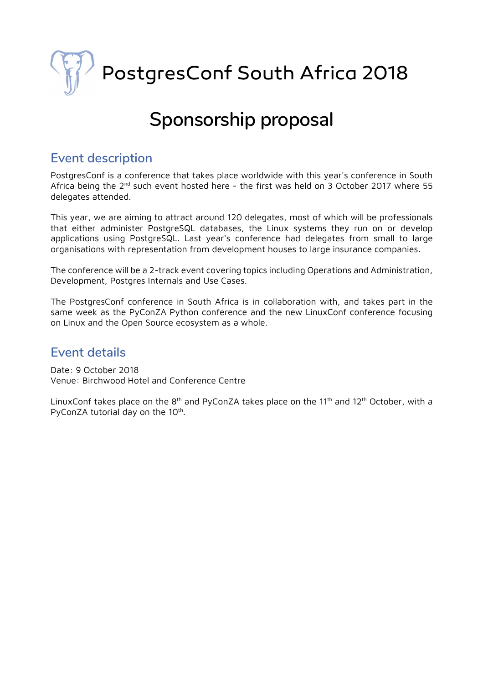

# **Sponsorship proposal**

## **Event description**

PostgresConf is a conference that takes place worldwide with this year's conference in South Africa being the 2<sup>nd</sup> such event hosted here - the first was held on 3 October 2017 where 55 delegates attended.

This year, we are aiming to attract around 120 delegates, most of which will be professionals that either administer PostgreSQL databases, the Linux systems they run on or develop applications using PostgreSQL. Last year's conference had delegates from small to large organisations with representation from development houses to large insurance companies.

The conference will be a 2-track event covering topics including Operations and Administration, Development, Postgres Internals and Use Cases.

The PostgresConf conference in South Africa is in collaboration with, and takes part in the same week as the PyConZA Python conference and the new LinuxConf conference focusing on Linux and the Open Source ecosystem as a whole.

## **Event details**

Date: 9 October 2018 Venue: Birchwood Hotel and Conference Centre

LinuxConf takes place on the 8<sup>th</sup> and PyConZA takes place on the 11<sup>th</sup> and 12<sup>th</sup> October, with a PyConZA tutorial day on the 10<sup>th</sup>.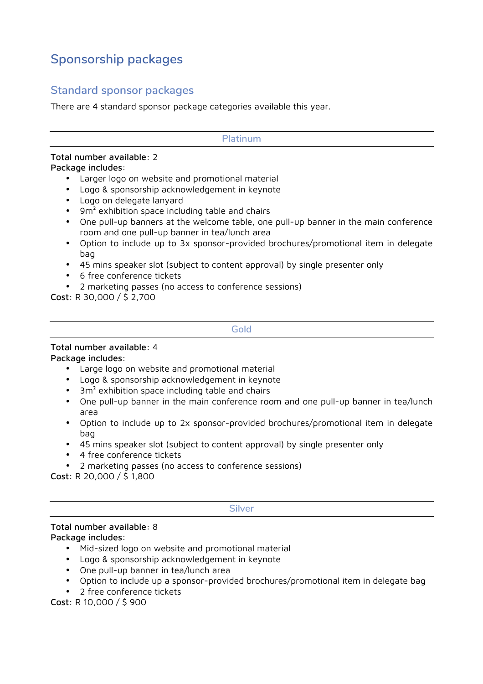## **Sponsorship packages**

### **Standard sponsor packages**

There are 4 standard sponsor package categories available this year.

#### **Platinum**

#### Total number available: 2 Package includes:

- Larger logo on website and promotional material
- Logo & sponsorship acknowledgement in keynote
- Logo on delegate lanyard
- $\bullet$  9m<sup>2</sup> exhibition space including table and chairs
- One pull-up banners at the welcome table, one pull-up banner in the main conference room and one pull-up banner in tea/lunch area
- Option to include up to 3x sponsor-provided brochures/promotional item in delegate bag
- 45 mins speaker slot (subject to content approval) by single presenter only
- 6 free conference tickets
- 2 marketing passes (no access to conference sessions)

Cost: R 30,000 / \$ 2,700

**Gold** 

#### Total number available: 4

Package includes:

- Large logo on website and promotional material
- Logo & sponsorship acknowledgement in keynote
- $\bullet$  3m<sup>2</sup> exhibition space including table and chairs
- One pull-up banner in the main conference room and one pull-up banner in tea/lunch area
- Option to include up to 2x sponsor-provided brochures/promotional item in delegate bag
- 45 mins speaker slot (subject to content approval) by single presenter only
- 4 free conference tickets
- 2 marketing passes (no access to conference sessions)

Cost: R 20,000 / \$ 1,800

#### **Silver**

#### Total number available: 8

Package includes:

- Mid-sized logo on website and promotional material
- Logo & sponsorship acknowledgement in keynote
- One pull-up banner in tea/lunch area
- Option to include up a sponsor-provided brochures/promotional item in delegate bag
- 2 free conference tickets

Cost: R 10,000 / \$ 900